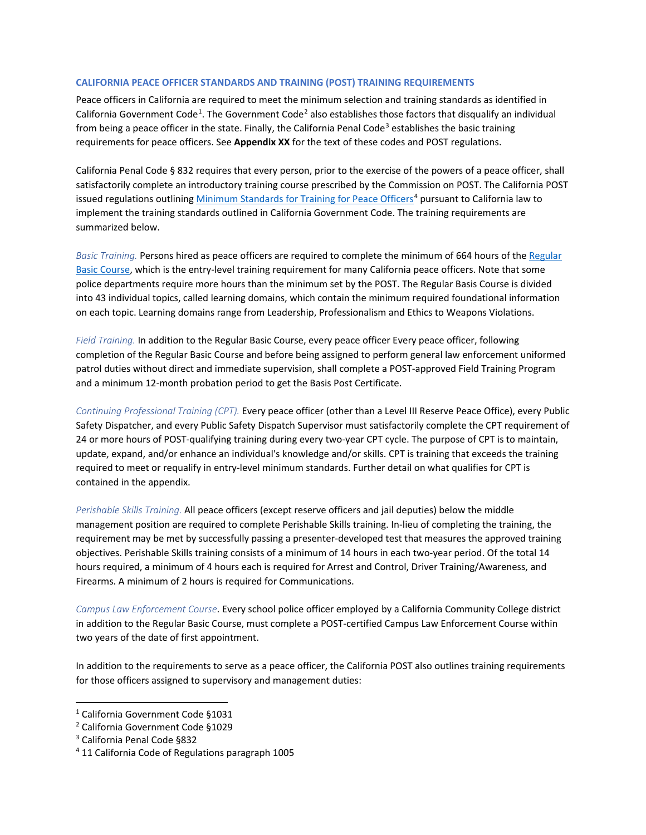### **CALIFORNIA PEACE OFFICER STANDARDS AND TRAINING (POST) TRAINING REQUIREMENTS**

Peace officers in California are required to meet the minimum selection and training standards as identified in California Government Code<sup>[1](#page-0-0)</sup>. The Government Code<sup>[2](#page-0-1)</sup> also establishes those factors that disqualify an individual from being a peace officer in the state. Finally, the California Penal Code<sup>[3](#page-0-2)</sup> establishes the basic training requirements for peace officers. See **Appendix XX** for the text of these codes and POST regulations.

California Penal Code § 832 requires that every person, prior to the exercise of the powers of a peace officer, shall satisfactorily complete an introductory training course prescribed by the Commission on POST. The California POST issued regulations outlining [Minimum Standards for Training for Peace Officers](https://govt.westlaw.com/calregs/Document/I911816DDFC464FC6ADEFD780622C16CB?viewType=FullText&originationContext=documenttoc&transitionType=CategoryPageItem&contextData=(sc.Default))<sup>[4](#page-0-3)</sup> pursuant to California law to implement the training standards outlined in California Government Code. The training requirements are summarized below.

*Basic Training.* Persons hired as peace officers are required to complete the minimum of 664 hours of th[e Regular](https://post.ca.gov/regular-basic-course)  [Basic Course,](https://post.ca.gov/regular-basic-course) which is the entry-level training requirement for many California peace officers. Note that some police departments require more hours than the minimum set by the POST. The Regular Basis Course is divided into 43 individual topics, called learning domains, which contain the minimum required foundational information on each topic. Learning domains range from Leadership, Professionalism and Ethics to Weapons Violations.

*Field Training.* In addition to the Regular Basic Course, every peace officer Every peace officer, following completion of the Regular Basic Course and before being assigned to perform general law enforcement uniformed patrol duties without direct and immediate supervision, shall complete a POST-approved Field Training Program and a minimum 12-month probation period to get the Basis Post Certificate.

*Continuing Professional Training (CPT).* Every peace officer (other than a Level III Reserve Peace Office), every Public Safety Dispatcher, and every Public Safety Dispatch Supervisor must satisfactorily complete the CPT requirement of 24 or more hours of POST-qualifying training during every two-year CPT cycle. The purpose of CPT is to maintain, update, expand, and/or enhance an individual's knowledge and/or skills. CPT is training that exceeds the training required to meet or requalify in entry-level minimum standards. Further detail on what qualifies for CPT is contained in the appendix.

*Perishable Skills Training.* All peace officers (except reserve officers and jail deputies) below the middle management position are required to complete Perishable Skills training. In-lieu of completing the training, the requirement may be met by successfully passing a presenter-developed test that measures the approved training objectives. Perishable Skills training consists of a minimum of 14 hours in each two-year period. Of the total 14 hours required, a minimum of 4 hours each is required for Arrest and Control, Driver Training/Awareness, and Firearms. A minimum of 2 hours is required for Communications.

*Campus Law Enforcement Course*. Every school police officer employed by a California Community College district in addition to the Regular Basic Course, must complete a POST-certified Campus Law Enforcement Course within two years of the date of first appointment.

In addition to the requirements to serve as a peace officer, the California POST also outlines training requirements for those officers assigned to supervisory and management duties:

<span id="page-0-0"></span><sup>1</sup> California Government Code §1031

<span id="page-0-1"></span><sup>2</sup> California Government Code §1029

<span id="page-0-2"></span><sup>3</sup> California Penal Code §832

<span id="page-0-3"></span><sup>4</sup> 11 California Code of Regulations paragraph 1005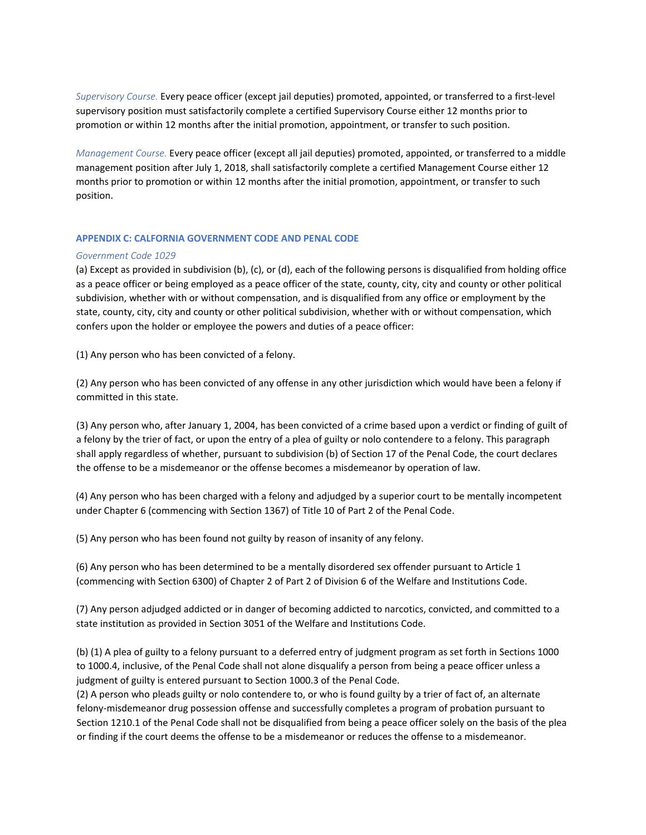*Supervisory Course.* Every peace officer (except jail deputies) promoted, appointed, or transferred to a first-level supervisory position must satisfactorily complete a certified Supervisory Course either 12 months prior to promotion or within 12 months after the initial promotion, appointment, or transfer to such position.

*Management Course.* Every peace officer (except all jail deputies) promoted, appointed, or transferred to a middle management position after July 1, 2018, shall satisfactorily complete a certified Management Course either 12 months prior to promotion or within 12 months after the initial promotion, appointment, or transfer to such position.

### **APPENDIX C: CALFORNIA GOVERNMENT CODE AND PENAL CODE**

### *Government Code 1029*

(a) Except as provided in subdivision (b), (c), or (d), each of the following persons is disqualified from holding office as a peace officer or being employed as a peace officer of the state, county, city, city and county or other political subdivision, whether with or without compensation, and is disqualified from any office or employment by the state, county, city, city and county or other political subdivision, whether with or without compensation, which confers upon the holder or employee the powers and duties of a peace officer:

(1) Any person who has been convicted of a felony.

(2) Any person who has been convicted of any offense in any other jurisdiction which would have been a felony if committed in this state.

(3) Any person who, after January 1, 2004, has been convicted of a crime based upon a verdict or finding of guilt of a felony by the trier of fact, or upon the entry of a plea of guilty or nolo contendere to a felony. This paragraph shall apply regardless of whether, pursuant to subdivision (b) of Section 17 of the Penal Code, the court declares the offense to be a misdemeanor or the offense becomes a misdemeanor by operation of law.

(4) Any person who has been charged with a felony and adjudged by a superior court to be mentally incompetent under Chapter 6 (commencing with Section 1367) of Title 10 of Part 2 of the Penal Code.

(5) Any person who has been found not guilty by reason of insanity of any felony.

(6) Any person who has been determined to be a mentally disordered sex offender pursuant to Article 1 (commencing with Section 6300) of Chapter 2 of Part 2 of Division 6 of the Welfare and Institutions Code.

(7) Any person adjudged addicted or in danger of becoming addicted to narcotics, convicted, and committed to a state institution as provided in Section 3051 of the Welfare and Institutions Code.

(b) (1) A plea of guilty to a felony pursuant to a deferred entry of judgment program as set forth in Sections 1000 to 1000.4, inclusive, of the Penal Code shall not alone disqualify a person from being a peace officer unless a judgment of guilty is entered pursuant to Section 1000.3 of the Penal Code.

(2) A person who pleads guilty or nolo contendere to, or who is found guilty by a trier of fact of, an alternate felony-misdemeanor drug possession offense and successfully completes a program of probation pursuant to Section 1210.1 of the Penal Code shall not be disqualified from being a peace officer solely on the basis of the plea or finding if the court deems the offense to be a misdemeanor or reduces the offense to a misdemeanor.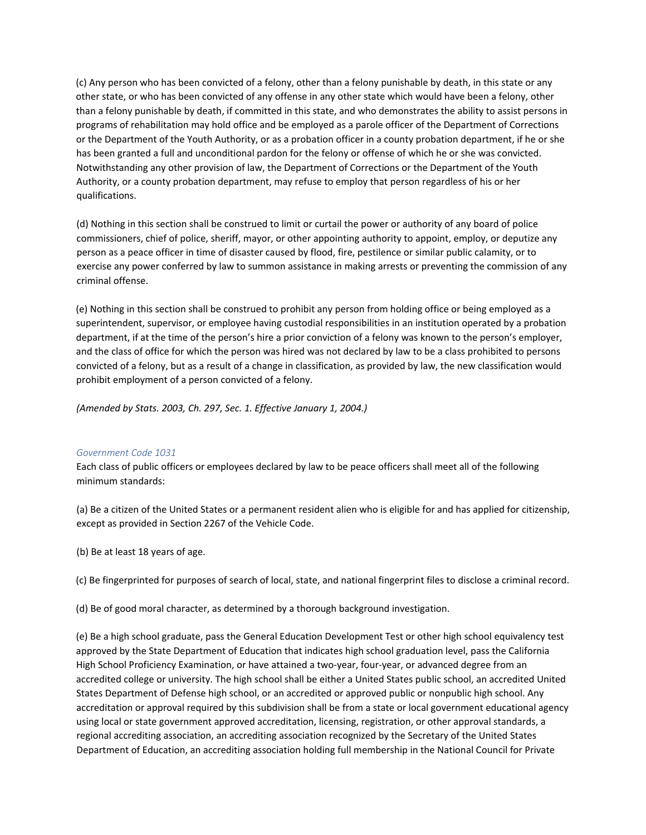(c) Any person who has been convicted of a felony, other than a felony punishable by death, in this state or any other state, or who has been convicted of any offense in any other state which would have been a felony, other than a felony punishable by death, if committed in this state, and who demonstrates the ability to assist persons in programs of rehabilitation may hold office and be employed as a parole officer of the Department of Corrections or the Department of the Youth Authority, or as a probation officer in a county probation department, if he or she has been granted a full and unconditional pardon for the felony or offense of which he or she was convicted. Notwithstanding any other provision of law, the Department of Corrections or the Department of the Youth Authority, or a county probation department, may refuse to employ that person regardless of his or her qualifications.

(d) Nothing in this section shall be construed to limit or curtail the power or authority of any board of police commissioners, chief of police, sheriff, mayor, or other appointing authority to appoint, employ, or deputize any person as a peace officer in time of disaster caused by flood, fire, pestilence or similar public calamity, or to exercise any power conferred by law to summon assistance in making arrests or preventing the commission of any criminal offense.

(e) Nothing in this section shall be construed to prohibit any person from holding office or being employed as a superintendent, supervisor, or employee having custodial responsibilities in an institution operated by a probation department, if at the time of the person's hire a prior conviction of a felony was known to the person's employer, and the class of office for which the person was hired was not declared by law to be a class prohibited to persons convicted of a felony, but as a result of a change in classification, as provided by law, the new classification would prohibit employment of a person convicted of a felony.

*(Amended by Stats. 2003, Ch. 297, Sec. 1. Effective January 1, 2004.)*

# *Government Code 1031*

Each class of public officers or employees declared by law to be peace officers shall meet all of the following minimum standards:

(a) Be a citizen of the United States or a permanent resident alien who is eligible for and has applied for citizenship, except as provided in Section 2267 of the Vehicle Code.

- (b) Be at least 18 years of age.
- (c) Be fingerprinted for purposes of search of local, state, and national fingerprint files to disclose a criminal record.

(d) Be of good moral character, as determined by a thorough background investigation.

(e) Be a high school graduate, pass the General Education Development Test or other high school equivalency test approved by the State Department of Education that indicates high school graduation level, pass the California High School Proficiency Examination, or have attained a two-year, four-year, or advanced degree from an accredited college or university. The high school shall be either a United States public school, an accredited United States Department of Defense high school, or an accredited or approved public or nonpublic high school. Any accreditation or approval required by this subdivision shall be from a state or local government educational agency using local or state government approved accreditation, licensing, registration, or other approval standards, a regional accrediting association, an accrediting association recognized by the Secretary of the United States Department of Education, an accrediting association holding full membership in the National Council for Private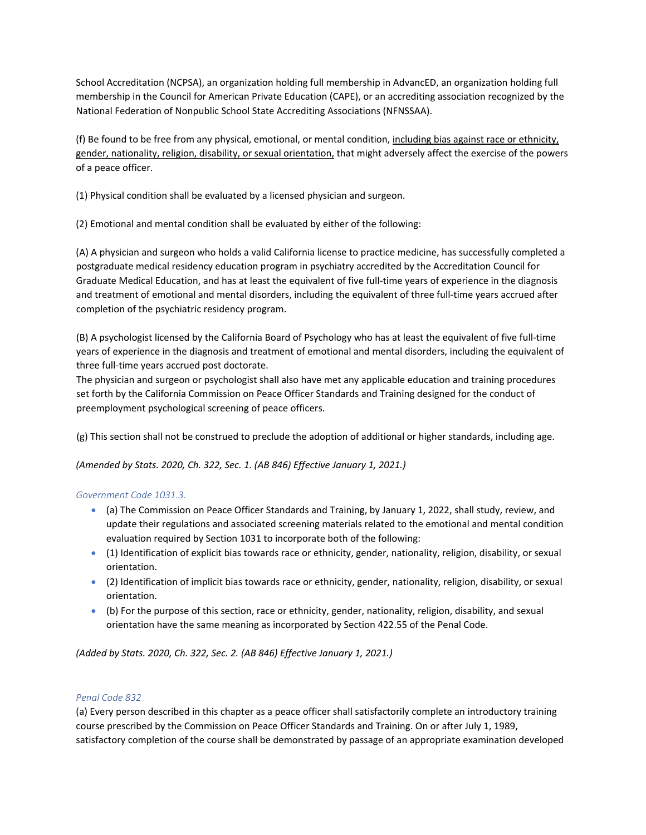School Accreditation (NCPSA), an organization holding full membership in AdvancED, an organization holding full membership in the Council for American Private Education (CAPE), or an accrediting association recognized by the National Federation of Nonpublic School State Accrediting Associations (NFNSSAA).

(f) Be found to be free from any physical, emotional, or mental condition, including bias against race or ethnicity, gender, nationality, religion, disability, or sexual orientation, that might adversely affect the exercise of the powers of a peace officer.

(1) Physical condition shall be evaluated by a licensed physician and surgeon.

(2) Emotional and mental condition shall be evaluated by either of the following:

(A) A physician and surgeon who holds a valid California license to practice medicine, has successfully completed a postgraduate medical residency education program in psychiatry accredited by the Accreditation Council for Graduate Medical Education, and has at least the equivalent of five full-time years of experience in the diagnosis and treatment of emotional and mental disorders, including the equivalent of three full-time years accrued after completion of the psychiatric residency program.

(B) A psychologist licensed by the California Board of Psychology who has at least the equivalent of five full-time years of experience in the diagnosis and treatment of emotional and mental disorders, including the equivalent of three full-time years accrued post doctorate.

The physician and surgeon or psychologist shall also have met any applicable education and training procedures set forth by the California Commission on Peace Officer Standards and Training designed for the conduct of preemployment psychological screening of peace officers.

(g) This section shall not be construed to preclude the adoption of additional or higher standards, including age.

*(Amended by Stats. 2020, Ch. 322, Sec. 1. (AB 846) Effective January 1, 2021.)*

# *Government Code 1031.3.*

- (a) The Commission on Peace Officer Standards and Training, by January 1, 2022, shall study, review, and update their regulations and associated screening materials related to the emotional and mental condition evaluation required by Section 1031 to incorporate both of the following:
- (1) Identification of explicit bias towards race or ethnicity, gender, nationality, religion, disability, or sexual orientation.
- (2) Identification of implicit bias towards race or ethnicity, gender, nationality, religion, disability, or sexual orientation.
- (b) For the purpose of this section, race or ethnicity, gender, nationality, religion, disability, and sexual orientation have the same meaning as incorporated by Section 422.55 of the Penal Code.

*(Added by Stats. 2020, Ch. 322, Sec. 2. (AB 846) Effective January 1, 2021.)*

# *Penal Code 832*

(a) Every person described in this chapter as a peace officer shall satisfactorily complete an introductory training course prescribed by the Commission on Peace Officer Standards and Training. On or after July 1, 1989, satisfactory completion of the course shall be demonstrated by passage of an appropriate examination developed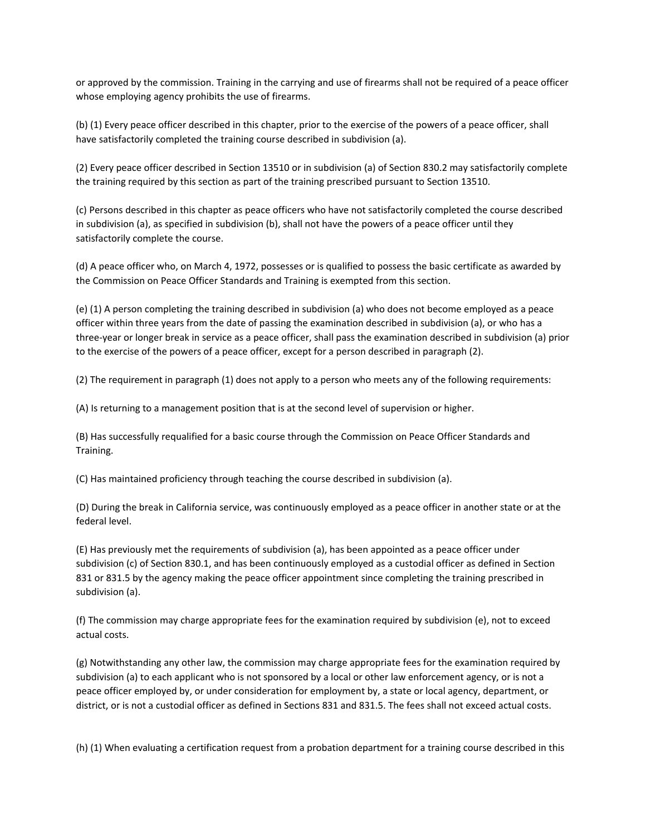or approved by the commission. Training in the carrying and use of firearms shall not be required of a peace officer whose employing agency prohibits the use of firearms.

(b) (1) Every peace officer described in this chapter, prior to the exercise of the powers of a peace officer, shall have satisfactorily completed the training course described in subdivision (a).

(2) Every peace officer described in Section 13510 or in subdivision (a) of Section 830.2 may satisfactorily complete the training required by this section as part of the training prescribed pursuant to Section 13510.

(c) Persons described in this chapter as peace officers who have not satisfactorily completed the course described in subdivision (a), as specified in subdivision (b), shall not have the powers of a peace officer until they satisfactorily complete the course.

(d) A peace officer who, on March 4, 1972, possesses or is qualified to possess the basic certificate as awarded by the Commission on Peace Officer Standards and Training is exempted from this section.

(e) (1) A person completing the training described in subdivision (a) who does not become employed as a peace officer within three years from the date of passing the examination described in subdivision (a), or who has a three-year or longer break in service as a peace officer, shall pass the examination described in subdivision (a) prior to the exercise of the powers of a peace officer, except for a person described in paragraph (2).

(2) The requirement in paragraph (1) does not apply to a person who meets any of the following requirements:

(A) Is returning to a management position that is at the second level of supervision or higher.

(B) Has successfully requalified for a basic course through the Commission on Peace Officer Standards and Training.

(C) Has maintained proficiency through teaching the course described in subdivision (a).

(D) During the break in California service, was continuously employed as a peace officer in another state or at the federal level.

(E) Has previously met the requirements of subdivision (a), has been appointed as a peace officer under subdivision (c) of Section 830.1, and has been continuously employed as a custodial officer as defined in Section 831 or 831.5 by the agency making the peace officer appointment since completing the training prescribed in subdivision (a).

(f) The commission may charge appropriate fees for the examination required by subdivision (e), not to exceed actual costs.

(g) Notwithstanding any other law, the commission may charge appropriate fees for the examination required by subdivision (a) to each applicant who is not sponsored by a local or other law enforcement agency, or is not a peace officer employed by, or under consideration for employment by, a state or local agency, department, or district, or is not a custodial officer as defined in Sections 831 and 831.5. The fees shall not exceed actual costs.

(h) (1) When evaluating a certification request from a probation department for a training course described in this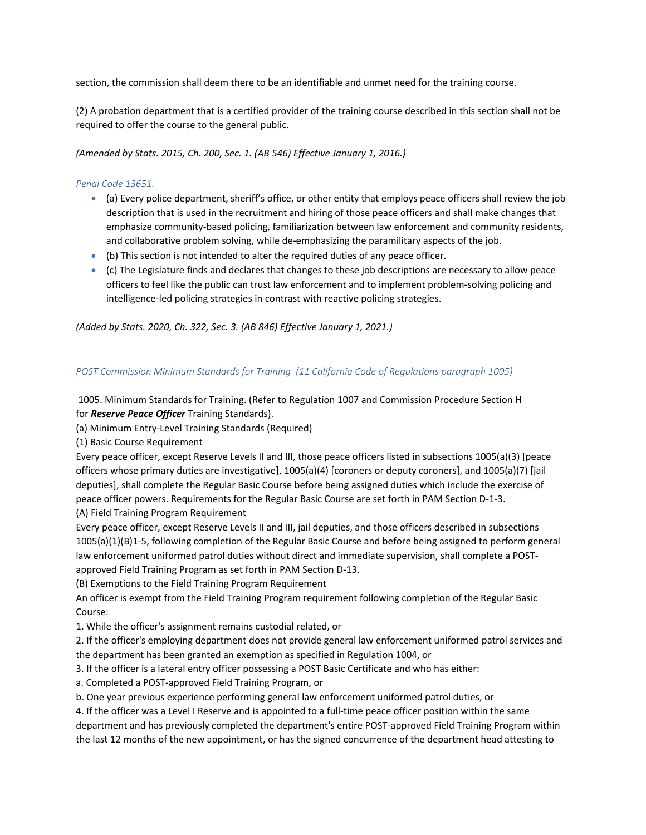section, the commission shall deem there to be an identifiable and unmet need for the training course.

(2) A probation department that is a certified provider of the training course described in this section shall not be required to offer the course to the general public.

*(Amended by Stats. 2015, Ch. 200, Sec. 1. (AB 546) Effective January 1, 2016.)*

### *Penal Code 13651.*

- (a) Every police department, sheriff's office, or other entity that employs peace officers shall review the job description that is used in the recruitment and hiring of those peace officers and shall make changes that emphasize community-based policing, familiarization between law enforcement and community residents, and collaborative problem solving, while de-emphasizing the paramilitary aspects of the job.
- (b) This section is not intended to alter the required duties of any peace officer.
- (c) The Legislature finds and declares that changes to these job descriptions are necessary to allow peace officers to feel like the public can trust law enforcement and to implement problem-solving policing and intelligence-led policing strategies in contrast with reactive policing strategies.

*(Added by Stats. 2020, Ch. 322, Sec. 3. (AB 846) Effective January 1, 2021.)*

### *POST Commission Minimum Standards for Training (11 California Code of Regulations paragraph 1005)*

1005. Minimum Standards for Training. (Refer to Regulation 1007 and Commission Procedure Section H for *Reserve Peace Officer* Training Standards).

(a) Minimum Entry-Level Training Standards (Required)

(1) Basic Course Requirement

Every peace officer, except Reserve Levels II and III, those peace officers listed in subsections 1005(a)(3) [peace officers whose primary duties are investigative], 1005(a)(4) [coroners or deputy coroners], and 1005(a)(7) [jail deputies], shall complete the Regular Basic Course before being assigned duties which include the exercise of peace officer powers. Requirements for the Regular Basic Course are set forth in PAM Section D-1-3. (A) Field Training Program Requirement

Every peace officer, except Reserve Levels II and III, jail deputies, and those officers described in subsections 1005(a)(1)(B)1-5, following completion of the Regular Basic Course and before being assigned to perform general law enforcement uniformed patrol duties without direct and immediate supervision, shall complete a POSTapproved Field Training Program as set forth in PAM Section D-13.

(B) Exemptions to the Field Training Program Requirement

An officer is exempt from the Field Training Program requirement following completion of the Regular Basic Course:

1. While the officer's assignment remains custodial related, or

2. If the officer's employing department does not provide general law enforcement uniformed patrol services and the department has been granted an exemption as specified in Regulation 1004, or

- 3. If the officer is a lateral entry officer possessing a POST Basic Certificate and who has either:
- a. Completed a POST-approved Field Training Program, or
- b. One year previous experience performing general law enforcement uniformed patrol duties, or

4. If the officer was a Level I Reserve and is appointed to a full-time peace officer position within the same department and has previously completed the department's entire POST-approved Field Training Program within the last 12 months of the new appointment, or has the signed concurrence of the department head attesting to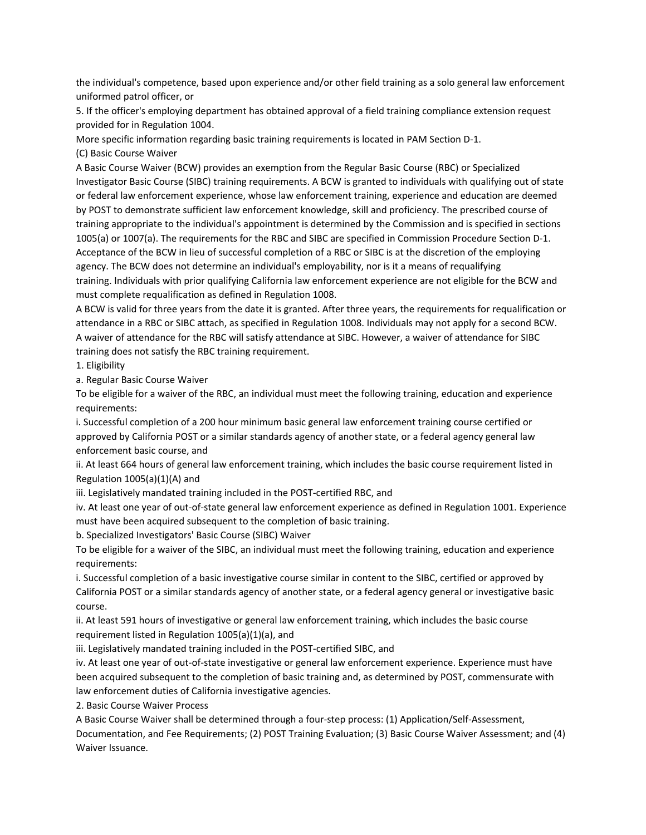the individual's competence, based upon experience and/or other field training as a solo general law enforcement uniformed patrol officer, or

5. If the officer's employing department has obtained approval of a field training compliance extension request provided for in Regulation 1004.

More specific information regarding basic training requirements is located in PAM Section D-1.

(C) Basic Course Waiver

A Basic Course Waiver (BCW) provides an exemption from the Regular Basic Course (RBC) or Specialized Investigator Basic Course (SIBC) training requirements. A BCW is granted to individuals with qualifying out of state or federal law enforcement experience, whose law enforcement training, experience and education are deemed by POST to demonstrate sufficient law enforcement knowledge, skill and proficiency. The prescribed course of training appropriate to the individual's appointment is determined by the Commission and is specified in sections 1005(a) or 1007(a). The requirements for the RBC and SIBC are specified in Commission Procedure Section D-1. Acceptance of the BCW in lieu of successful completion of a RBC or SIBC is at the discretion of the employing agency. The BCW does not determine an individual's employability, nor is it a means of requalifying training. Individuals with prior qualifying California law enforcement experience are not eligible for the BCW and must complete requalification as defined in Regulation 1008.

A BCW is valid for three years from the date it is granted. After three years, the requirements for requalification or attendance in a RBC or SIBC attach, as specified in Regulation 1008. Individuals may not apply for a second BCW. A waiver of attendance for the RBC will satisfy attendance at SIBC. However, a waiver of attendance for SIBC training does not satisfy the RBC training requirement.

1. Eligibility

a. Regular Basic Course Waiver

To be eligible for a waiver of the RBC, an individual must meet the following training, education and experience requirements:

i. Successful completion of a 200 hour minimum basic general law enforcement training course certified or approved by California POST or a similar standards agency of another state, or a federal agency general law enforcement basic course, and

ii. At least 664 hours of general law enforcement training, which includes the basic course requirement listed in Regulation  $1005(a)(1)(A)$  and

iii. Legislatively mandated training included in the POST-certified RBC, and

iv. At least one year of out-of-state general law enforcement experience as defined in Regulation 1001. Experience must have been acquired subsequent to the completion of basic training.

b. Specialized Investigators' Basic Course (SIBC) Waiver

To be eligible for a waiver of the SIBC, an individual must meet the following training, education and experience requirements:

i. Successful completion of a basic investigative course similar in content to the SIBC, certified or approved by California POST or a similar standards agency of another state, or a federal agency general or investigative basic course.

ii. At least 591 hours of investigative or general law enforcement training, which includes the basic course requirement listed in Regulation 1005(a)(1)(a), and

iii. Legislatively mandated training included in the POST-certified SIBC, and

iv. At least one year of out-of-state investigative or general law enforcement experience. Experience must have been acquired subsequent to the completion of basic training and, as determined by POST, commensurate with law enforcement duties of California investigative agencies.

2. Basic Course Waiver Process

A Basic Course Waiver shall be determined through a four-step process: (1) Application/Self-Assessment, Documentation, and Fee Requirements; (2) POST Training Evaluation; (3) Basic Course Waiver Assessment; and (4) Waiver Issuance.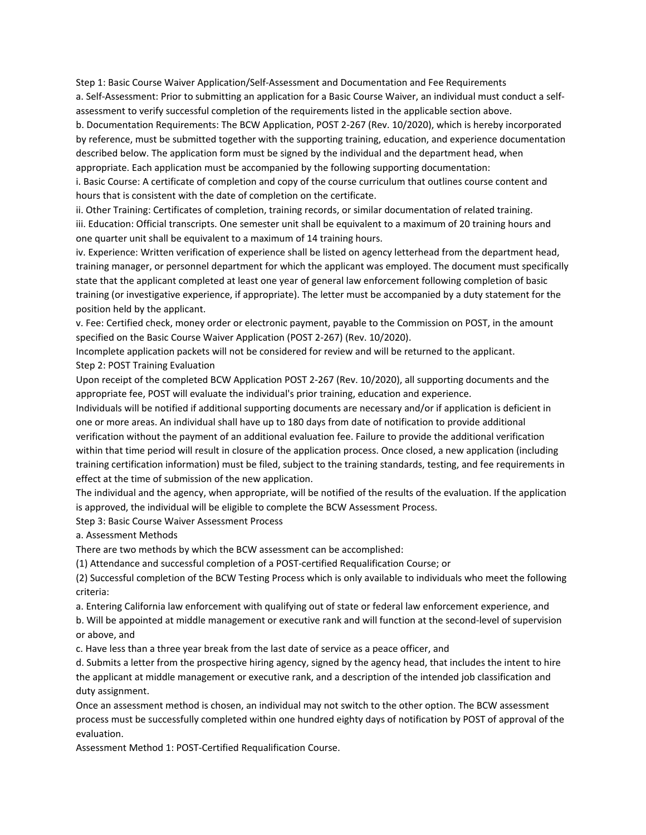Step 1: Basic Course Waiver Application/Self-Assessment and Documentation and Fee Requirements a. Self-Assessment: Prior to submitting an application for a Basic Course Waiver, an individual must conduct a selfassessment to verify successful completion of the requirements listed in the applicable section above.

b. Documentation Requirements: The BCW Application, POST 2-267 (Rev. 10/2020), which is hereby incorporated by reference, must be submitted together with the supporting training, education, and experience documentation described below. The application form must be signed by the individual and the department head, when appropriate. Each application must be accompanied by the following supporting documentation:

i. Basic Course: A certificate of completion and copy of the course curriculum that outlines course content and hours that is consistent with the date of completion on the certificate.

ii. Other Training: Certificates of completion, training records, or similar documentation of related training. iii. Education: Official transcripts. One semester unit shall be equivalent to a maximum of 20 training hours and one quarter unit shall be equivalent to a maximum of 14 training hours.

iv. Experience: Written verification of experience shall be listed on agency letterhead from the department head, training manager, or personnel department for which the applicant was employed. The document must specifically state that the applicant completed at least one year of general law enforcement following completion of basic training (or investigative experience, if appropriate). The letter must be accompanied by a duty statement for the position held by the applicant.

v. Fee: Certified check, money order or electronic payment, payable to the Commission on POST, in the amount specified on the Basic Course Waiver Application (POST 2-267) (Rev. 10/2020).

Incomplete application packets will not be considered for review and will be returned to the applicant. Step 2: POST Training Evaluation

Upon receipt of the completed BCW Application POST 2-267 (Rev. 10/2020), all supporting documents and the appropriate fee, POST will evaluate the individual's prior training, education and experience.

Individuals will be notified if additional supporting documents are necessary and/or if application is deficient in one or more areas. An individual shall have up to 180 days from date of notification to provide additional verification without the payment of an additional evaluation fee. Failure to provide the additional verification within that time period will result in closure of the application process. Once closed, a new application (including training certification information) must be filed, subject to the training standards, testing, and fee requirements in effect at the time of submission of the new application.

The individual and the agency, when appropriate, will be notified of the results of the evaluation. If the application is approved, the individual will be eligible to complete the BCW Assessment Process.

Step 3: Basic Course Waiver Assessment Process

a. Assessment Methods

There are two methods by which the BCW assessment can be accomplished:

(1) Attendance and successful completion of a POST-certified Requalification Course; or

(2) Successful completion of the BCW Testing Process which is only available to individuals who meet the following criteria:

a. Entering California law enforcement with qualifying out of state or federal law enforcement experience, and

b. Will be appointed at middle management or executive rank and will function at the second-level of supervision or above, and

c. Have less than a three year break from the last date of service as a peace officer, and

d. Submits a letter from the prospective hiring agency, signed by the agency head, that includes the intent to hire the applicant at middle management or executive rank, and a description of the intended job classification and duty assignment.

Once an assessment method is chosen, an individual may not switch to the other option. The BCW assessment process must be successfully completed within one hundred eighty days of notification by POST of approval of the evaluation.

Assessment Method 1: POST-Certified Requalification Course.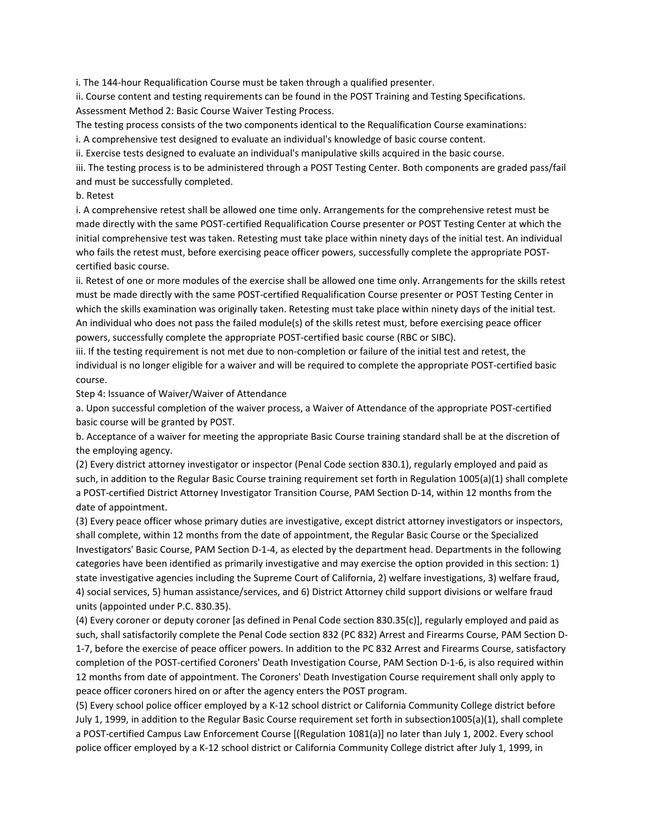i. The 144-hour Requalification Course must be taken through a qualified presenter.

ii. Course content and testing requirements can be found in the POST Training and Testing Specifications. Assessment Method 2: Basic Course Waiver Testing Process.

The testing process consists of the two components identical to the Requalification Course examinations:

i. A comprehensive test designed to evaluate an individual's knowledge of basic course content.

ii. Exercise tests designed to evaluate an individual's manipulative skills acquired in the basic course.

iii. The testing process is to be administered through a POST Testing Center. Both components are graded pass/fail and must be successfully completed.

### b. Retest

i. A comprehensive retest shall be allowed one time only. Arrangements for the comprehensive retest must be made directly with the same POST-certified Requalification Course presenter or POST Testing Center at which the initial comprehensive test was taken. Retesting must take place within ninety days of the initial test. An individual who fails the retest must, before exercising peace officer powers, successfully complete the appropriate POSTcertified basic course.

ii. Retest of one or more modules of the exercise shall be allowed one time only. Arrangements for the skills retest must be made directly with the same POST-certified Requalification Course presenter or POST Testing Center in which the skills examination was originally taken. Retesting must take place within ninety days of the initial test. An individual who does not pass the failed module(s) of the skills retest must, before exercising peace officer powers, successfully complete the appropriate POST-certified basic course (RBC or SIBC).

iii. If the testing requirement is not met due to non-completion or failure of the initial test and retest, the individual is no longer eligible for a waiver and will be required to complete the appropriate POST-certified basic course.

Step 4: Issuance of Waiver/Waiver of Attendance

a. Upon successful completion of the waiver process, a Waiver of Attendance of the appropriate POST-certified basic course will be granted by POST.

b. Acceptance of a waiver for meeting the appropriate Basic Course training standard shall be at the discretion of the employing agency.

(2) Every district attorney investigator or inspector (Penal Code section 830.1), regularly employed and paid as such, in addition to the Regular Basic Course training requirement set forth in Regulation 1005(a)(1) shall complete a POST-certified District Attorney Investigator Transition Course, PAM Section D-14, within 12 months from the date of appointment.

(3) Every peace officer whose primary duties are investigative, except district attorney investigators or inspectors, shall complete, within 12 months from the date of appointment, the Regular Basic Course or the Specialized Investigators' Basic Course, PAM Section D-1-4, as elected by the department head. Departments in the following categories have been identified as primarily investigative and may exercise the option provided in this section: 1) state investigative agencies including the Supreme Court of California, 2) welfare investigations, 3) welfare fraud, 4) social services, 5) human assistance/services, and 6) District Attorney child support divisions or welfare fraud units (appointed under P.C. 830.35).

(4) Every coroner or deputy coroner [as defined in Penal Code section 830.35(c)], regularly employed and paid as such, shall satisfactorily complete the Penal Code section 832 (PC 832) Arrest and Firearms Course, PAM Section D-1-7, before the exercise of peace officer powers. In addition to the PC 832 Arrest and Firearms Course, satisfactory completion of the POST-certified Coroners' Death Investigation Course, PAM Section D-1-6, is also required within 12 months from date of appointment. The Coroners' Death Investigation Course requirement shall only apply to peace officer coroners hired on or after the agency enters the POST program.

(5) Every school police officer employed by a K-12 school district or California Community College district before July 1, 1999, in addition to the Regular Basic Course requirement set forth in subsection1005(a)(1), shall complete a POST-certified Campus Law Enforcement Course [(Regulation 1081(a)] no later than July 1, 2002. Every school police officer employed by a K-12 school district or California Community College district after July 1, 1999, in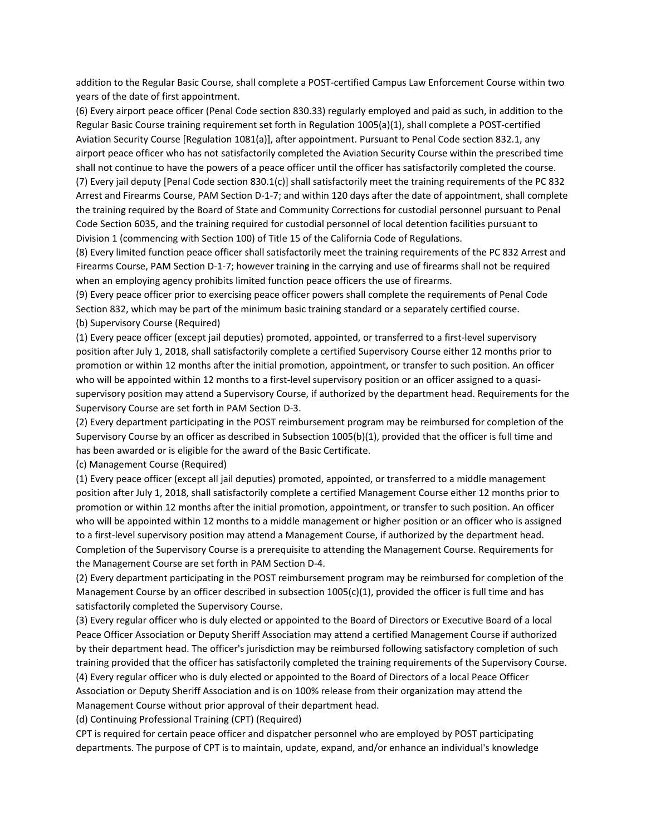addition to the Regular Basic Course, shall complete a POST-certified Campus Law Enforcement Course within two years of the date of first appointment.

(6) Every airport peace officer (Penal Code section 830.33) regularly employed and paid as such, in addition to the Regular Basic Course training requirement set forth in Regulation 1005(a)(1), shall complete a POST-certified Aviation Security Course [Regulation 1081(a)], after appointment. Pursuant to Penal Code section 832.1, any airport peace officer who has not satisfactorily completed the Aviation Security Course within the prescribed time shall not continue to have the powers of a peace officer until the officer has satisfactorily completed the course. (7) Every jail deputy [Penal Code section 830.1(c)] shall satisfactorily meet the training requirements of the PC 832 Arrest and Firearms Course, PAM Section D-1-7; and within 120 days after the date of appointment, shall complete the training required by the Board of State and Community Corrections for custodial personnel pursuant to Penal Code Section 6035, and the training required for custodial personnel of local detention facilities pursuant to Division 1 (commencing with Section 100) of Title 15 of the California Code of Regulations.

(8) Every limited function peace officer shall satisfactorily meet the training requirements of the PC 832 Arrest and Firearms Course, PAM Section D-1-7; however training in the carrying and use of firearms shall not be required when an employing agency prohibits limited function peace officers the use of firearms.

(9) Every peace officer prior to exercising peace officer powers shall complete the requirements of Penal Code Section 832, which may be part of the minimum basic training standard or a separately certified course. (b) Supervisory Course (Required)

(1) Every peace officer (except jail deputies) promoted, appointed, or transferred to a first-level supervisory position after July 1, 2018, shall satisfactorily complete a certified Supervisory Course either 12 months prior to promotion or within 12 months after the initial promotion, appointment, or transfer to such position. An officer who will be appointed within 12 months to a first-level supervisory position or an officer assigned to a quasisupervisory position may attend a Supervisory Course, if authorized by the department head. Requirements for the Supervisory Course are set forth in PAM Section D-3.

(2) Every department participating in the POST reimbursement program may be reimbursed for completion of the Supervisory Course by an officer as described in Subsection 1005(b)(1), provided that the officer is full time and has been awarded or is eligible for the award of the Basic Certificate.

(c) Management Course (Required)

(1) Every peace officer (except all jail deputies) promoted, appointed, or transferred to a middle management position after July 1, 2018, shall satisfactorily complete a certified Management Course either 12 months prior to promotion or within 12 months after the initial promotion, appointment, or transfer to such position. An officer who will be appointed within 12 months to a middle management or higher position or an officer who is assigned to a first-level supervisory position may attend a Management Course, if authorized by the department head. Completion of the Supervisory Course is a prerequisite to attending the Management Course. Requirements for the Management Course are set forth in PAM Section D-4.

(2) Every department participating in the POST reimbursement program may be reimbursed for completion of the Management Course by an officer described in subsection 1005(c)(1), provided the officer is full time and has satisfactorily completed the Supervisory Course.

(3) Every regular officer who is duly elected or appointed to the Board of Directors or Executive Board of a local Peace Officer Association or Deputy Sheriff Association may attend a certified Management Course if authorized by their department head. The officer's jurisdiction may be reimbursed following satisfactory completion of such training provided that the officer has satisfactorily completed the training requirements of the Supervisory Course. (4) Every regular officer who is duly elected or appointed to the Board of Directors of a local Peace Officer Association or Deputy Sheriff Association and is on 100% release from their organization may attend the Management Course without prior approval of their department head.

(d) Continuing Professional Training (CPT) (Required)

CPT is required for certain peace officer and dispatcher personnel who are employed by POST participating departments. The purpose of CPT is to maintain, update, expand, and/or enhance an individual's knowledge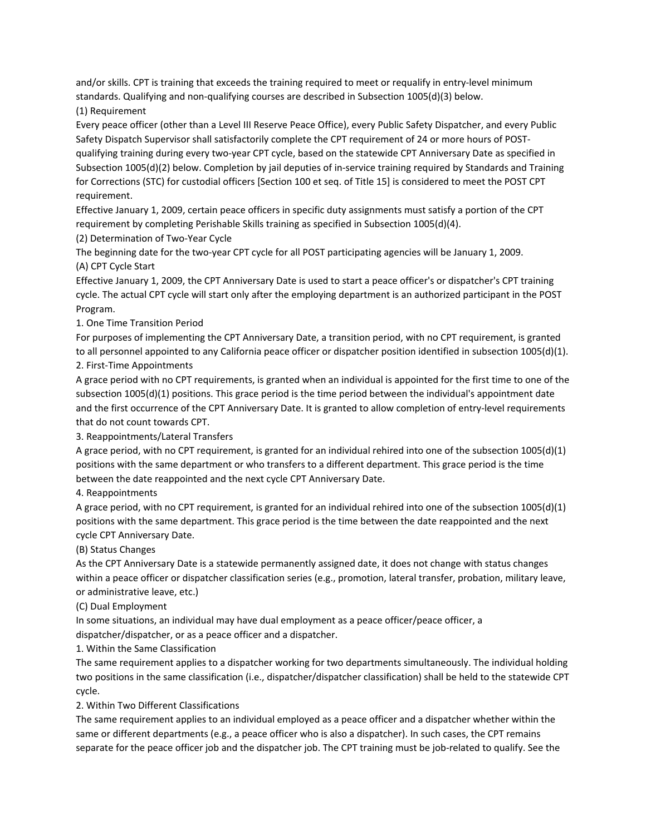and/or skills. CPT is training that exceeds the training required to meet or requalify in entry-level minimum standards. Qualifying and non-qualifying courses are described in Subsection 1005(d)(3) below.

(1) Requirement

Every peace officer (other than a Level III Reserve Peace Office), every Public Safety Dispatcher, and every Public Safety Dispatch Supervisor shall satisfactorily complete the CPT requirement of 24 or more hours of POSTqualifying training during every two-year CPT cycle, based on the statewide CPT Anniversary Date as specified in Subsection 1005(d)(2) below. Completion by jail deputies of in-service training required by Standards and Training for Corrections (STC) for custodial officers [Section 100 et seq. of Title 15] is considered to meet the POST CPT requirement.

Effective January 1, 2009, certain peace officers in specific duty assignments must satisfy a portion of the CPT requirement by completing Perishable Skills training as specified in Subsection 1005(d)(4).

(2) Determination of Two-Year Cycle

The beginning date for the two-year CPT cycle for all POST participating agencies will be January 1, 2009. (A) CPT Cycle Start

Effective January 1, 2009, the CPT Anniversary Date is used to start a peace officer's or dispatcher's CPT training cycle. The actual CPT cycle will start only after the employing department is an authorized participant in the POST Program.

1. One Time Transition Period

For purposes of implementing the CPT Anniversary Date, a transition period, with no CPT requirement, is granted to all personnel appointed to any California peace officer or dispatcher position identified in subsection 1005(d)(1). 2. First-Time Appointments

A grace period with no CPT requirements, is granted when an individual is appointed for the first time to one of the subsection 1005(d)(1) positions. This grace period is the time period between the individual's appointment date and the first occurrence of the CPT Anniversary Date. It is granted to allow completion of entry-level requirements that do not count towards CPT.

3. Reappointments/Lateral Transfers

A grace period, with no CPT requirement, is granted for an individual rehired into one of the subsection 1005(d)(1) positions with the same department or who transfers to a different department. This grace period is the time between the date reappointed and the next cycle CPT Anniversary Date.

4. Reappointments

A grace period, with no CPT requirement, is granted for an individual rehired into one of the subsection 1005(d)(1) positions with the same department. This grace period is the time between the date reappointed and the next cycle CPT Anniversary Date.

(B) Status Changes

As the CPT Anniversary Date is a statewide permanently assigned date, it does not change with status changes within a peace officer or dispatcher classification series (e.g., promotion, lateral transfer, probation, military leave, or administrative leave, etc.)

(C) Dual Employment

In some situations, an individual may have dual employment as a peace officer/peace officer, a

dispatcher/dispatcher, or as a peace officer and a dispatcher.

1. Within the Same Classification

The same requirement applies to a dispatcher working for two departments simultaneously. The individual holding two positions in the same classification (i.e., dispatcher/dispatcher classification) shall be held to the statewide CPT cycle.

2. Within Two Different Classifications

The same requirement applies to an individual employed as a peace officer and a dispatcher whether within the same or different departments (e.g., a peace officer who is also a dispatcher). In such cases, the CPT remains separate for the peace officer job and the dispatcher job. The CPT training must be job-related to qualify. See the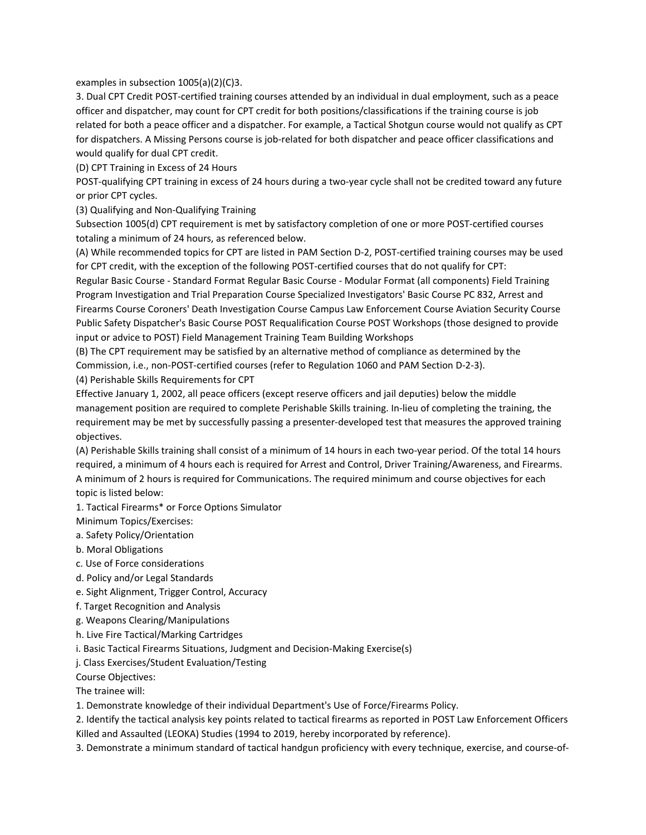examples in subsection 1005(a)(2)(C)3.

3. Dual CPT Credit POST-certified training courses attended by an individual in dual employment, such as a peace officer and dispatcher, may count for CPT credit for both positions/classifications if the training course is job related for both a peace officer and a dispatcher. For example, a Tactical Shotgun course would not qualify as CPT for dispatchers. A Missing Persons course is job-related for both dispatcher and peace officer classifications and would qualify for dual CPT credit.

(D) CPT Training in Excess of 24 Hours

POST-qualifying CPT training in excess of 24 hours during a two-year cycle shall not be credited toward any future or prior CPT cycles.

(3) Qualifying and Non-Qualifying Training

Subsection 1005(d) CPT requirement is met by satisfactory completion of one or more POST-certified courses totaling a minimum of 24 hours, as referenced below.

(A) While recommended topics for CPT are listed in PAM Section D-2, POST-certified training courses may be used for CPT credit, with the exception of the following POST-certified courses that do not qualify for CPT:

Regular Basic Course - Standard Format Regular Basic Course - Modular Format (all components) Field Training Program Investigation and Trial Preparation Course Specialized Investigators' Basic Course PC 832, Arrest and Firearms Course Coroners' Death Investigation Course Campus Law Enforcement Course Aviation Security Course Public Safety Dispatcher's Basic Course POST Requalification Course POST Workshops (those designed to provide input or advice to POST) Field Management Training Team Building Workshops

(B) The CPT requirement may be satisfied by an alternative method of compliance as determined by the Commission, i.e., non-POST-certified courses (refer to Regulation 1060 and PAM Section D-2-3). (4) Perishable Skills Requirements for CPT

Effective January 1, 2002, all peace officers (except reserve officers and jail deputies) below the middle management position are required to complete Perishable Skills training. In-lieu of completing the training, the requirement may be met by successfully passing a presenter-developed test that measures the approved training objectives.

(A) Perishable Skills training shall consist of a minimum of 14 hours in each two-year period. Of the total 14 hours required, a minimum of 4 hours each is required for Arrest and Control, Driver Training/Awareness, and Firearms. A minimum of 2 hours is required for Communications. The required minimum and course objectives for each topic is listed below:

1. Tactical Firearms\* or Force Options Simulator

Minimum Topics/Exercises:

a. Safety Policy/Orientation

- b. Moral Obligations
- c. Use of Force considerations
- d. Policy and/or Legal Standards
- e. Sight Alignment, Trigger Control, Accuracy
- f. Target Recognition and Analysis
- g. Weapons Clearing/Manipulations
- h. Live Fire Tactical/Marking Cartridges
- i. Basic Tactical Firearms Situations, Judgment and Decision-Making Exercise(s)

j. Class Exercises/Student Evaluation/Testing

Course Objectives:

The trainee will:

1. Demonstrate knowledge of their individual Department's Use of Force/Firearms Policy.

2. Identify the tactical analysis key points related to tactical firearms as reported in POST Law Enforcement Officers Killed and Assaulted (LEOKA) Studies (1994 to 2019, hereby incorporated by reference).

3. Demonstrate a minimum standard of tactical handgun proficiency with every technique, exercise, and course-of-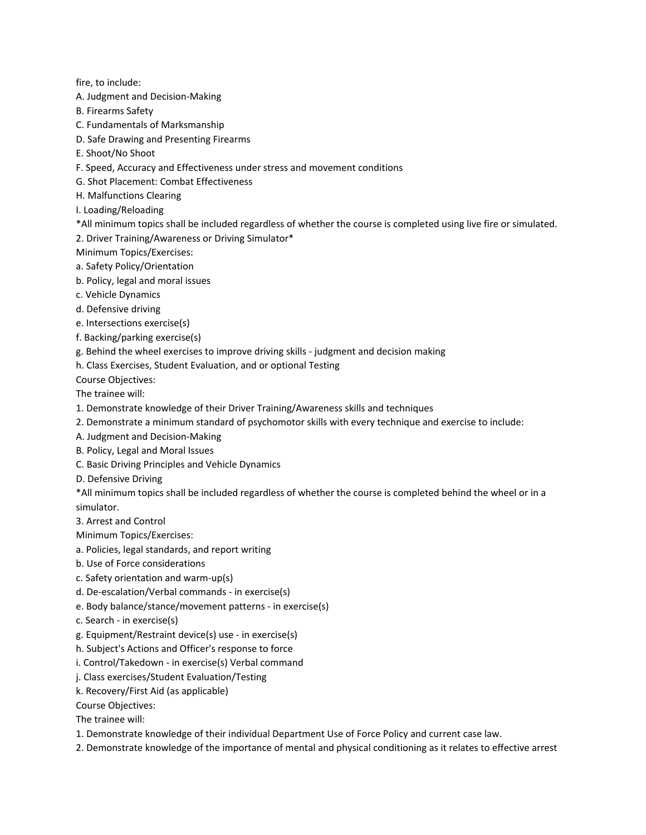fire, to include:

- A. Judgment and Decision-Making
- B. Firearms Safety
- C. Fundamentals of Marksmanship
- D. Safe Drawing and Presenting Firearms
- E. Shoot/No Shoot
- F. Speed, Accuracy and Effectiveness under stress and movement conditions
- G. Shot Placement: Combat Effectiveness
- H. Malfunctions Clearing
- I. Loading/Reloading
- \*All minimum topics shall be included regardless of whether the course is completed using live fire or simulated.
- 2. Driver Training/Awareness or Driving Simulator\*
- Minimum Topics/Exercises:
- a. Safety Policy/Orientation
- b. Policy, legal and moral issues
- c. Vehicle Dynamics
- d. Defensive driving
- e. Intersections exercise(s)
- f. Backing/parking exercise(s)
- g. Behind the wheel exercises to improve driving skills judgment and decision making
- h. Class Exercises, Student Evaluation, and or optional Testing

Course Objectives:

The trainee will:

- 1. Demonstrate knowledge of their Driver Training/Awareness skills and techniques
- 2. Demonstrate a minimum standard of psychomotor skills with every technique and exercise to include:
- A. Judgment and Decision-Making
- B. Policy, Legal and Moral Issues
- C. Basic Driving Principles and Vehicle Dynamics
- D. Defensive Driving

\*All minimum topics shall be included regardless of whether the course is completed behind the wheel or in a simulator.

- 3. Arrest and Control
- Minimum Topics/Exercises:
- a. Policies, legal standards, and report writing
- b. Use of Force considerations
- c. Safety orientation and warm-up(s)
- d. De-escalation/Verbal commands in exercise(s)
- e. Body balance/stance/movement patterns in exercise(s)
- c. Search in exercise(s)
- g. Equipment/Restraint device(s) use in exercise(s)
- h. Subject's Actions and Officer's response to force
- i. Control/Takedown in exercise(s) Verbal command
- j. Class exercises/Student Evaluation/Testing
- k. Recovery/First Aid (as applicable)

Course Objectives:

The trainee will:

- 1. Demonstrate knowledge of their individual Department Use of Force Policy and current case law.
- 2. Demonstrate knowledge of the importance of mental and physical conditioning as it relates to effective arrest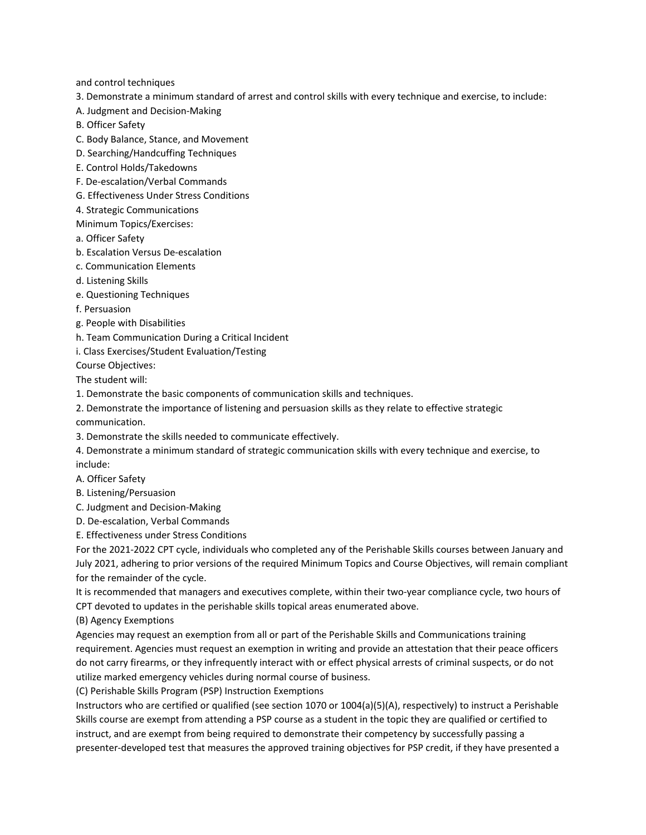and control techniques

- 3. Demonstrate a minimum standard of arrest and control skills with every technique and exercise, to include:
- A. Judgment and Decision-Making
- B. Officer Safety
- C. Body Balance, Stance, and Movement
- D. Searching/Handcuffing Techniques
- E. Control Holds/Takedowns
- F. De-escalation/Verbal Commands
- G. Effectiveness Under Stress Conditions
- 4. Strategic Communications
- Minimum Topics/Exercises:
- a. Officer Safety
- b. Escalation Versus De-escalation
- c. Communication Elements
- d. Listening Skills
- e. Questioning Techniques
- f. Persuasion
- g. People with Disabilities
- h. Team Communication During a Critical Incident
- i. Class Exercises/Student Evaluation/Testing

Course Objectives:

The student will:

1. Demonstrate the basic components of communication skills and techniques.

- 2. Demonstrate the importance of listening and persuasion skills as they relate to effective strategic communication.
- 3. Demonstrate the skills needed to communicate effectively.
- 4. Demonstrate a minimum standard of strategic communication skills with every technique and exercise, to include:
- A. Officer Safety
- B. Listening/Persuasion
- C. Judgment and Decision-Making
- D. De-escalation, Verbal Commands
- E. Effectiveness under Stress Conditions

For the 2021-2022 CPT cycle, individuals who completed any of the Perishable Skills courses between January and July 2021, adhering to prior versions of the required Minimum Topics and Course Objectives, will remain compliant for the remainder of the cycle.

It is recommended that managers and executives complete, within their two-year compliance cycle, two hours of CPT devoted to updates in the perishable skills topical areas enumerated above.

(B) Agency Exemptions

Agencies may request an exemption from all or part of the Perishable Skills and Communications training requirement. Agencies must request an exemption in writing and provide an attestation that their peace officers do not carry firearms, or they infrequently interact with or effect physical arrests of criminal suspects, or do not utilize marked emergency vehicles during normal course of business.

(C) Perishable Skills Program (PSP) Instruction Exemptions

Instructors who are certified or qualified (see section 1070 or 1004(a)(5)(A), respectively) to instruct a Perishable Skills course are exempt from attending a PSP course as a student in the topic they are qualified or certified to instruct, and are exempt from being required to demonstrate their competency by successfully passing a presenter-developed test that measures the approved training objectives for PSP credit, if they have presented a